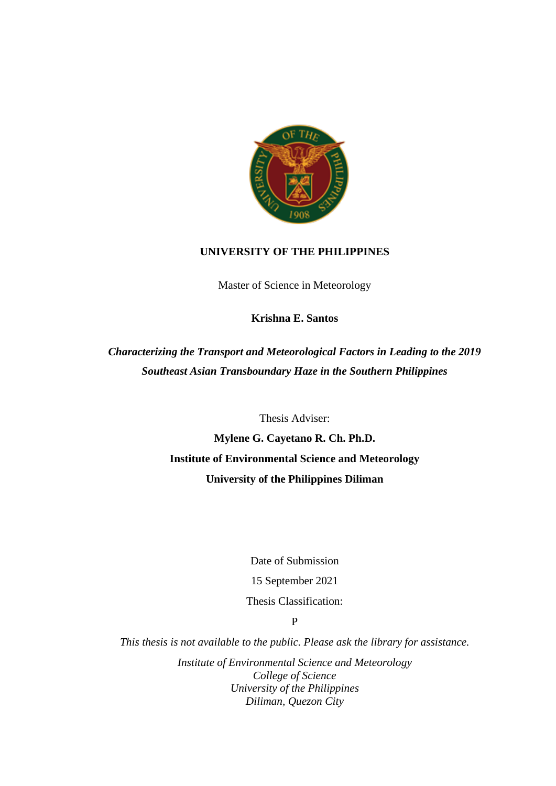

## **UNIVERSITY OF THE PHILIPPINES**

Master of Science in Meteorology

**Krishna E. Santos**

*Characterizing the Transport and Meteorological Factors in Leading to the 2019 Southeast Asian Transboundary Haze in the Southern Philippines*

Thesis Adviser:

**Mylene G. Cayetano R. Ch. Ph.D. Institute of Environmental Science and Meteorology University of the Philippines Diliman**

Date of Submission

15 September 2021

Thesis Classification:

P

*This thesis is not available to the public. Please ask the library for assistance.*

*Institute of Environmental Science and Meteorology College of Science University of the Philippines Diliman, Quezon City*